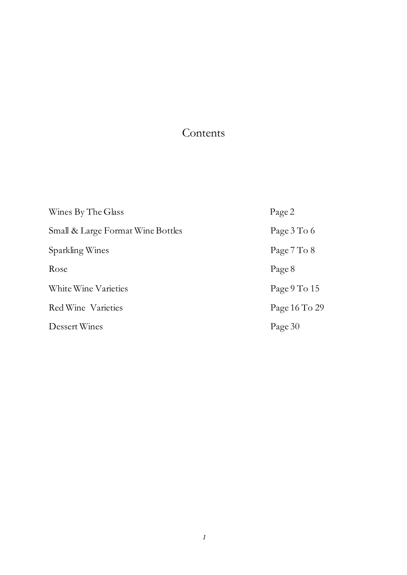### Contents

| Wines By The Glass                | Page 2         |
|-----------------------------------|----------------|
| Small & Large Format Wine Bottles | Page 3 To 6    |
| Sparkling Wines                   | Page 7 To 8    |
| Rose                              | Page 8         |
| White Wine Varieties              | Page $9$ To 15 |
| Red Wine Varieties                | Page 16 To 29  |
| Dessert Wines                     | Page 30        |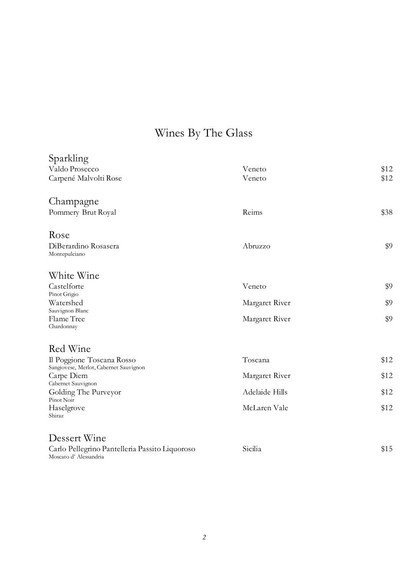# Wines By The Glass

| Sparkling<br>Valdo Prosecco<br>Carpené Malvolti Rose                    | Veneto<br>Veneto | \$12<br>\$12 |
|-------------------------------------------------------------------------|------------------|--------------|
| Champagne<br>Pommery Brut Royal                                         | Reims            | \$38         |
| Rose<br>DiBerardino Rosasera<br>Montepulciano                           | Abruzzo          | \$9          |
| White Wine                                                              |                  |              |
| Castelforte<br>Pinot Grigio                                             | Veneto           | \$9          |
| Watershed<br>Sauvignon Blanc                                            | Margaret River   | \$9          |
| Flame Tree<br>Chardonnay                                                | Margaret River   | \$9          |
| Red Wine                                                                |                  |              |
| Il Poggione Toscana Rosso<br>Sangiovese, Merlot, Cabernet Sauvignon     | Toscana          | \$12         |
| Carpe Diem<br>Cabernet Sauvignon                                        | Margaret River   | \$12         |
| Golding The Purveyor<br>Pinot Noir                                      | Adelaide Hills   | \$12         |
| Haselgrove<br>Shiraz                                                    | McLaren Vale     | \$12         |
| Dessert Wine                                                            |                  |              |
| Carlo Pellegrino Pantelleria Passito Liquoroso<br>Moscato d'Alessandria | Sicilia          | \$15         |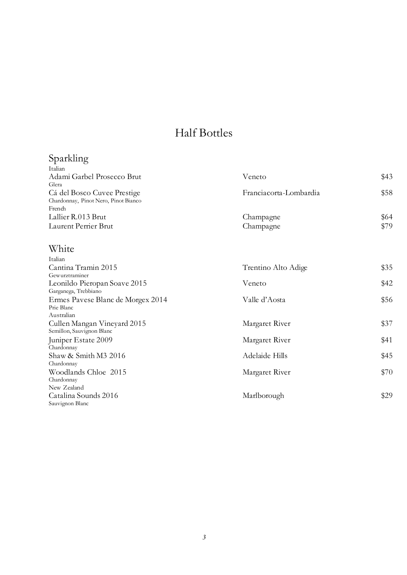# Half Bottles

#### Sparkling

| Italian                              |                        |      |
|--------------------------------------|------------------------|------|
| Adami Garbel Prosecco Brut           | Veneto                 | \$43 |
| Glera                                |                        |      |
| Cá del Bosco Cuvee Prestige          | Franciacorta-Lombardia | \$58 |
| Chardonnay, Pinot Nero, Pinot Bianco |                        |      |
| French                               |                        |      |
| Lallier R.013 Brut                   | Champagne              | \$64 |
| Laurent Perrier Brut                 | Champagne              | \$79 |
|                                      |                        |      |

### White

| Trentino Alto Adige | \$35 |
|---------------------|------|
|                     |      |
| Veneto              | \$42 |
|                     |      |
| Valle d'Aosta       | \$56 |
|                     |      |
|                     |      |
| Margaret River      | \$37 |
|                     |      |
| Margaret River      | \$41 |
|                     |      |
| Adelaide Hills      | \$45 |
|                     |      |
| Margaret River      | \$70 |
|                     |      |
|                     |      |
| Marlborough         | \$29 |
|                     |      |
|                     |      |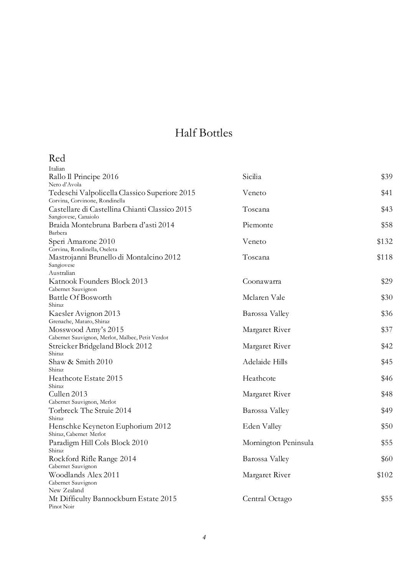## Half Bottles

#### Red

| Italian                                                                 |                      |       |
|-------------------------------------------------------------------------|----------------------|-------|
| Rallo Il Principe 2016                                                  | Sicilia              | \$39  |
| Nero d'Avola                                                            |                      |       |
| Tedeschi Valpolicella Classico Superiore 2015                           | Veneto               | \$41  |
| Corvina, Corvinone, Rondinella                                          |                      |       |
| Castellare di Castellina Chianti Classico 2015                          | Toscana              | \$43  |
| Sangiovese, Canaiolo<br>Braida Montebruna Barbera d'asti 2014           | Piemonte             | \$58  |
| Barbera                                                                 |                      |       |
| Speri Amarone 2010                                                      | Veneto               | \$132 |
| Corvina, Rondinella, Oseleta                                            |                      |       |
| Mastrojanni Brunello di Montalcino 2012                                 | Toscana              | \$118 |
| Sangiovese                                                              |                      |       |
| Australian                                                              |                      |       |
| Katnook Founders Block 2013                                             | Coonawarra           | \$29  |
| Cabernet Sauvignon                                                      |                      |       |
| Battle Of Bosworth                                                      | Mclaren Vale         | \$30  |
| Shiraz                                                                  |                      |       |
| Kaesler Avignon 2013                                                    | Barossa Valley       | \$36  |
| Grenache, Mataro, Shiraz                                                |                      |       |
| Mosswood Amy's 2015<br>Cabernet Sauvignon, Merlot, Malbec, Petit Verdot | Margaret River       | \$37  |
| Streicker Bridgeland Block 2012                                         | Margaret River       | \$42  |
| Shiraz                                                                  |                      |       |
| Shaw & Smith 2010                                                       | Adelaide Hills       | \$45  |
| Shiraz                                                                  |                      |       |
| Heathcote Estate 2015                                                   | Heathcote            | \$46  |
| Shiraz                                                                  |                      |       |
| Cullen 2013                                                             | Margaret River       | \$48  |
| Cabernet Sauvignon, Merlot                                              |                      |       |
| Torbreck The Struie 2014                                                | Barossa Valley       | \$49  |
| Shiraz                                                                  |                      |       |
| Henschke Keyneton Euphorium 2012                                        | Eden Valley          | \$50  |
| Shiraz, Cabernet Merlot                                                 |                      |       |
| Paradigm Hill Cols Block 2010<br>Shiraz                                 | Mornington Peninsula | \$55  |
| Rockford Rifle Range 2014                                               | Barossa Valley       | \$60  |
| Cabernet Sauvignon                                                      |                      |       |
| Woodlands Alex 2011                                                     | Margaret River       | \$102 |
| Cabernet Sauvignon                                                      |                      |       |
| New Zealand                                                             |                      |       |
| Mt Difficulty Bannockburn Estate 2015                                   | Central Octago       | \$55  |
| Pinot Noir                                                              |                      |       |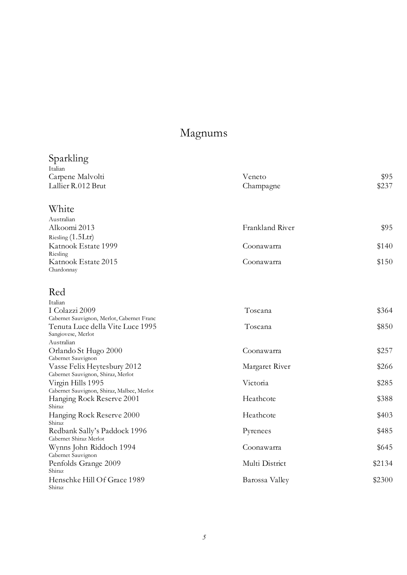## Magnums

| Sparkling                                                                      |                 |        |
|--------------------------------------------------------------------------------|-----------------|--------|
| Italian                                                                        |                 |        |
| Carpene Malvolti                                                               | Veneto          | \$95   |
| Lallier R.012 Brut                                                             | Champagne       | \$237  |
| White                                                                          |                 |        |
| Australian                                                                     |                 |        |
| Alkoomi 2013                                                                   | Frankland River | \$95   |
| Riesling (1.5Ltr)                                                              |                 |        |
| Katnook Estate 1999<br>Riesling                                                | Coonawarra      | \$140  |
| Katnook Estate 2015<br>Chardonnay                                              | Coonawarra      | \$150  |
|                                                                                |                 |        |
| Red                                                                            |                 |        |
| Italian                                                                        |                 |        |
| I Colazzi 2009                                                                 | Toscana         | \$364  |
| Cabernet Sauvignon, Merlot, Cabernet Franc<br>Tenuta Luce della Vite Luce 1995 | Toscana         | \$850  |
| Sangiovese, Merlot                                                             |                 |        |
| Australian                                                                     |                 |        |
| Orlando St Hugo 2000                                                           | Coonawarra      | \$257  |
| Cabernet Sauvignon                                                             |                 |        |
| Vasse Felix Heytesbury 2012                                                    | Margaret River  | \$266  |
| Cabernet Sauvignon, Shiraz, Merlot                                             |                 |        |
| Virgin Hills 1995<br>Cabernet Sauvignon, Shiraz, Malbec, Merlot                | Victoria        | \$285  |
| Hanging Rock Reserve 2001                                                      | Heathcote       | \$388  |
| Shiraz                                                                         |                 |        |
| Hanging Rock Reserve 2000                                                      | Heathcote       | \$403  |
| Shiraz                                                                         |                 |        |
| Redbank Sally's Paddock 1996                                                   | Pyrenees        | \$485  |
| Cabernet Shiraz Merlot                                                         |                 |        |
| Wynns John Riddoch 1994                                                        | Coonawarra      | \$645  |
| Cabernet Sauvignon<br>Penfolds Grange 2009                                     | Multi District  | \$2134 |
| Shiraz                                                                         |                 |        |
| Henschke Hill Of Grace 1989<br>Shiraz                                          | Barossa Valley  | \$2300 |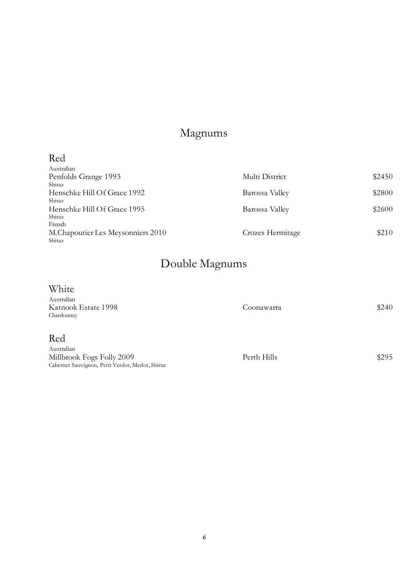## Magnums

### Red

| Australian                         |                  |        |
|------------------------------------|------------------|--------|
| Penfolds Grange 1993               | Multi District   | \$2450 |
| Shiraz                             |                  |        |
| Henschke Hill Of Grace 1992        | Barossa Valley   | \$2800 |
| Shiraz                             |                  |        |
| Henschke Hill Of Grace 1995        | Barossa Valley   | \$2600 |
| Shiraz                             |                  |        |
| French                             |                  |        |
| M. Chapoutier Les Meysonniers 2010 | Crozes Hermitage | \$210  |
| Shiraz                             |                  |        |

## Double Magnums

### White

| Australian<br>Katnook Estate 1998<br>Chardonnay  | Coonawarra  | \$240 |
|--------------------------------------------------|-------------|-------|
| Red                                              |             |       |
| Australian                                       |             |       |
| Millbrook Fogs Folly 2009                        | Perth Hills | \$295 |
| Cabernet Sauvignon, Petit Verdot, Merlot, Shiraz |             |       |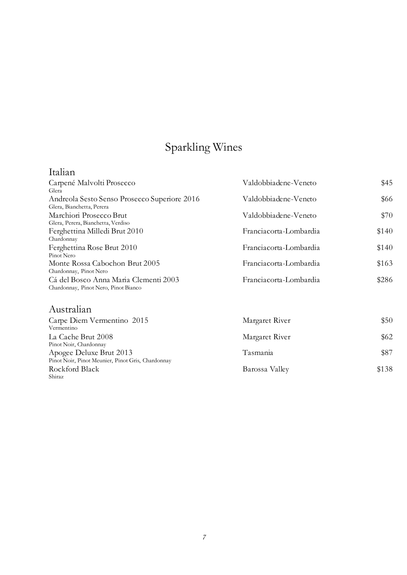# Sparkling Wines

### Italian

| Valdobbiadene-Veneto   | \$45  |
|------------------------|-------|
|                        |       |
| Valdobbiadene-Veneto   | \$66  |
|                        |       |
| Valdobbiadene-Veneto   | \$70  |
|                        |       |
| Franciacorta-Lombardia | \$140 |
|                        |       |
| Franciacorta-Lombardia | \$140 |
|                        |       |
| Franciacorta-Lombardia | \$163 |
|                        |       |
| Franciacorta-Lombardia | \$286 |
|                        |       |
|                        |       |

### Australian

| Carpe Diem Vermentino 2015                        | Margaret River | \$50  |
|---------------------------------------------------|----------------|-------|
| Vermentino                                        |                |       |
| La Cache Brut 2008                                | Margaret River | \$62  |
| Pinot Noir, Chardonnay                            |                |       |
| Apogee Deluxe Brut 2013                           | Tasmania       | \$87  |
| Pinot Noir, Pinot Meunier, Pinot Gris, Chardonnay |                |       |
| Rockford Black                                    | Barossa Valley | \$138 |
| Shiraz                                            |                |       |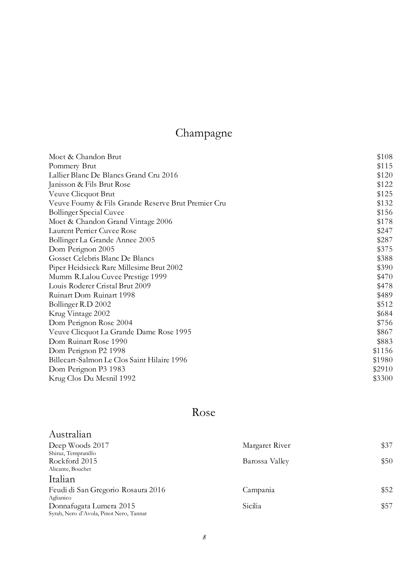# Champagne

| Moet & Chandon Brut                                 | \$108  |
|-----------------------------------------------------|--------|
| Pommery Brut                                        | \$115  |
| Lallier Blanc De Blancs Grand Cru 2016              | \$120  |
| Janisson & Fils Brut Rose                           | \$122  |
| Veuve Clicquot Brut                                 | \$125  |
| Veuve Fourny & Fils Grande Reserve Brut Premier Cru | \$132  |
| <b>Bollinger Special Cuvee</b>                      | \$156  |
| Moet & Chandon Grand Vintage 2006                   | \$178  |
| Laurent Perrier Cuvee Rose                          | \$247  |
| Bollinger La Grande Annee 2005                      | \$287  |
| Dom Perignon 2005                                   | \$375  |
| Gosset Celebris Blanc De Blancs                     | \$388  |
| Piper Heidsieck Rare Millesime Brut 2002            | \$390  |
| Mumm R.Lalou Cuvee Prestige 1999                    | \$470  |
| Louis Roderer Cristal Brut 2009                     | \$478  |
| Ruinart Dom Ruinart 1998                            | \$489  |
| Bollinger R.D 2002                                  | \$512  |
| Krug Vintage 2002                                   | \$684  |
| Dom Perignon Rose 2004                              | \$756  |
| Veuve Clicquot La Grande Dame Rose 1995             | \$867  |
| Dom Ruinart Rose 1990                               | \$883  |
| Dom Perignon P2 1998                                | \$1156 |
| Billecart-Salmon Le Clos Saint Hilaire 1996         | \$1980 |
| Dom Perignon P3 1983                                | \$2910 |
| Krug Clos Du Mesnil 1992                            | \$3300 |

## Rose

| Australian                              |                |      |
|-----------------------------------------|----------------|------|
| Deep Woods 2017                         | Margaret River | \$37 |
| Shiraz, Tempranillo                     |                |      |
| Rockford 2015                           | Barossa Valley | \$50 |
| Alicante, Bouchet                       |                |      |
| Italian                                 |                |      |
| Feudi di San Gregorio Rosaura 2016      | Campania       | \$52 |
| Aglianico                               |                |      |
| Donnafugata Lumera 2015                 | Sicilia        | \$57 |
| Syrah, Nero d'Avola, Pinot Nero, Tannat |                |      |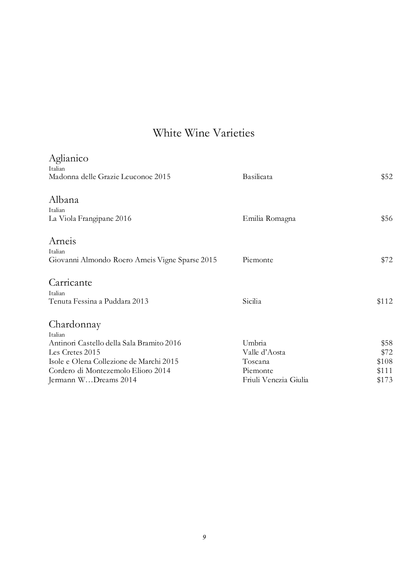| Aglianico<br>Italian<br>Madonna delle Grazie Leuconoe 2015                                                                                                                                     | Basilicata                                                              | \$52                                    |
|------------------------------------------------------------------------------------------------------------------------------------------------------------------------------------------------|-------------------------------------------------------------------------|-----------------------------------------|
| Albana<br>Italian<br>La Viola Frangipane 2016                                                                                                                                                  | Emilia Romagna                                                          | \$56                                    |
| Arneis<br>Italian<br>Giovanni Almondo Roero Arneis Vigne Sparse 2015                                                                                                                           | Piemonte                                                                | \$72                                    |
| Carricante<br>Italian<br>Tenuta Fessina a Puddara 2013                                                                                                                                         | Sicilia                                                                 | \$112                                   |
| Chardonnay<br>Italian<br>Antinori Castello della Sala Bramito 2016<br>Les Cretes 2015<br>Isole e Olena Collezione de Marchi 2015<br>Cordero di Montezemolo Elioro 2014<br>Jermann WDreams 2014 | Umbria<br>Valle d'Aosta<br>Toscana<br>Piemonte<br>Friuli Venezia Giulia | \$58<br>\$72<br>\$108<br>\$111<br>\$173 |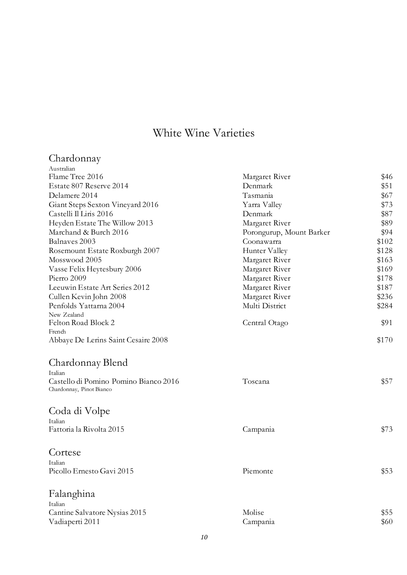# Chardonnay Australian

|                          | \$46                       |
|--------------------------|----------------------------|
| Denmark                  | \$51                       |
| Tasmania                 | \$67                       |
| Yarra Valley             | \$73                       |
| Denmark                  | \$87                       |
| Margaret River           | \$89                       |
| Porongurup, Mount Barker | \$94                       |
| Coonawarra               | \$102                      |
| Hunter Valley            | \$128                      |
| Margaret River           | \$163                      |
| Margaret River           | \$169                      |
| Margaret River           | \$178                      |
| Margaret River           | \$187                      |
| Margaret River           | \$236                      |
| Multi District           | \$284                      |
|                          |                            |
| Central Otago            | \$91                       |
|                          |                            |
|                          | \$170                      |
|                          |                            |
|                          |                            |
| Toscana                  | \$57                       |
|                          |                            |
|                          |                            |
|                          |                            |
| Campania                 | \$73                       |
|                          |                            |
|                          |                            |
|                          |                            |
|                          | \$53                       |
|                          |                            |
|                          |                            |
| Molise                   | \$55                       |
| Campania                 | \$60                       |
|                          | Margaret River<br>Piemonte |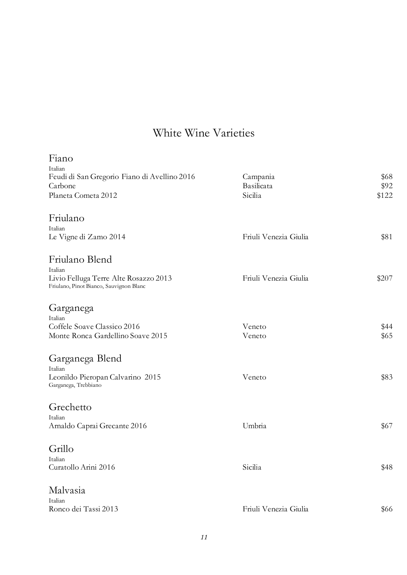| Fiano                                                                            |                       |       |
|----------------------------------------------------------------------------------|-----------------------|-------|
| Italian<br>Feudi di San Gregorio Fiano di Avellino 2016                          | Campania              | \$68  |
| Carbone                                                                          | Basilicata            | \$92  |
| Planeta Cometa 2012                                                              | Sicilia               | \$122 |
| Friulano                                                                         |                       |       |
| Italian                                                                          |                       |       |
| Le Vigne di Zamo 2014                                                            | Friuli Venezia Giulia | \$81  |
| Friulano Blend                                                                   |                       |       |
| Italian                                                                          |                       |       |
| Livio Felluga Terre Alte Rosazzo 2013<br>Friulano, Pinot Bianco, Sauvignon Blanc | Friuli Venezia Giulia | \$207 |
| Garganega                                                                        |                       |       |
| Italian                                                                          |                       |       |
| Coffele Soave Classico 2016                                                      | Veneto                | \$44  |
| Monte Ronca Gardellino Soave 2015                                                | Veneto                | \$65  |
| Garganega Blend                                                                  |                       |       |
| Italian                                                                          |                       |       |
| Leonildo Pieropan Calvarino 2015<br>Garganega, Trebbiano                         | Veneto                | \$83  |
| Grechetto                                                                        |                       |       |
| Italian                                                                          |                       |       |
| Arnaldo Caprai Grecante 2016                                                     | Umbria                | \$67  |
| Grillo                                                                           |                       |       |
| Italian                                                                          |                       |       |
| Curatollo Arini 2016                                                             | Sicilia               | \$48  |
| Malvasia                                                                         |                       |       |
| Italian                                                                          |                       |       |
| Ronco dei Tassi 2013                                                             | Friuli Venezia Giulia | \$66  |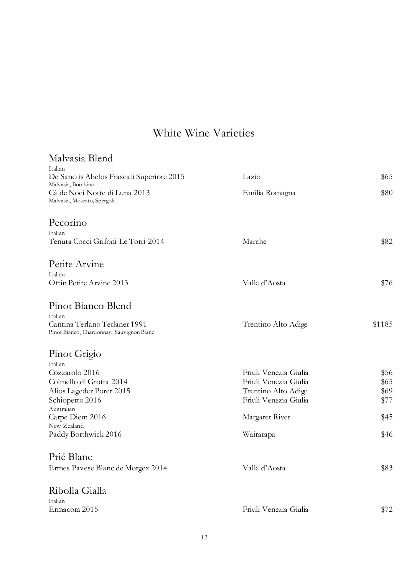| Malvasia Blend                                                             |                       |        |
|----------------------------------------------------------------------------|-----------------------|--------|
| Italian<br>De Sanctis Abelos Frascati Superiore 2015                       | Lazio                 | \$65   |
| Malvasia, Bombino<br>Cá de Noci Notte di Luna 2013                         | Emilia Romagna        | \$80   |
| Malvasia, Moscato, Spergola                                                |                       |        |
| Pecorino                                                                   |                       |        |
| Italian                                                                    |                       |        |
| Tenuta Cocci Grifoni Le Torri 2014                                         | Marche                | \$82   |
| Petite Arvine                                                              |                       |        |
| Italian                                                                    |                       |        |
| Ottin Petite Arvine 2013                                                   | Valle d'Aosta         | \$76   |
| Pinot Bianco Blend                                                         |                       |        |
| Italian                                                                    |                       |        |
| Cantina Terlano Terlaner 1991<br>Pinot Bianco, Chardonnay, Sauvignon Blanc | Trentino Alto Adige   | \$1185 |
| Pinot Grigio                                                               |                       |        |
| Italian                                                                    |                       |        |
| Cozzarolo 2016                                                             | Friuli Venezia Giulia | \$56   |
| Colmello di Grotta 2014                                                    | Friuli Venezia Giulia | \$65   |
| Alios Lageder Porer 2015                                                   | Trentino Alto Adige   | \$69   |
| Schiopetto 2016                                                            | Friuli Venezia Giulia | \$77   |
| Australian<br>Carpe Diem 2016                                              | Margaret River        | \$45   |
| New Zealand                                                                |                       |        |
| Paddy Borthwick 2016                                                       | Wairarapa             | \$46   |
| Prié Blanc                                                                 |                       |        |
| Ermes Pavese Blanc de Morgex 2014                                          | Valle d'Aosta         | \$83   |
| Ribolla Gialla                                                             |                       |        |
| Italian                                                                    |                       |        |
| Ermacora 2015                                                              | Friuli Venezia Giulia | \$72   |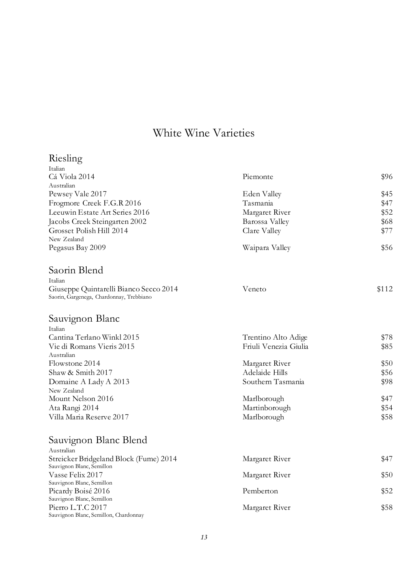#### Riesling

| Italian                                                                            |                                                              |              |
|------------------------------------------------------------------------------------|--------------------------------------------------------------|--------------|
| Cá Viola 2014                                                                      | Piemonte                                                     | \$96         |
| Australian                                                                         |                                                              |              |
| Pewsey Vale 2017                                                                   | Eden Valley                                                  | \$45<br>\$47 |
| Frogmore Creek F.G.R 2016                                                          | Tasmania<br>Margaret River<br>Barossa Valley<br>Clare Valley |              |
| Leeuwin Estate Art Series 2016                                                     |                                                              | \$52         |
| Jacobs Creek Steingarten 2002                                                      |                                                              | \$68         |
| Grosset Polish Hill 2014                                                           |                                                              | \$77         |
| New Zealand                                                                        |                                                              |              |
| Pegasus Bay 2009                                                                   | Waipara Valley                                               | \$56         |
| Saorin Blend                                                                       |                                                              |              |
| Italian                                                                            |                                                              |              |
| Giuseppe Quintarelli Bianco Secco 2014<br>Saorin, Gargenega, Chardonnay, Trebbiano | Veneto                                                       | \$112        |
| Sauvignon Blanc                                                                    |                                                              |              |
| Italian                                                                            |                                                              |              |
| Cantina Terlano Winkl 2015                                                         | Trentino Alto Adige                                          | \$78         |
| Vie di Romans Vieris 2015<br>Australian                                            | Friuli Venezia Giulia                                        | \$85         |
| Flowstone 2014                                                                     | Margaret River                                               | \$50         |
| Shaw & Smith 2017                                                                  | Adelaide Hills                                               | \$56         |
| Domaine A Lady A 2013                                                              | Southern Tasmania                                            | \$98         |
| New Zealand                                                                        |                                                              |              |
| Mount Nelson 2016                                                                  | Marlborough                                                  | \$47         |
| Ata Rangi 2014                                                                     | Martinborough                                                | \$54         |
| Villa Maria Reserve 2017                                                           | Marlborough                                                  | \$58         |
| Sauvignon Blanc Blend                                                              |                                                              |              |
| Australian                                                                         |                                                              |              |
| Streicker Bridgeland Block (Fume) 2014                                             | Margaret River                                               | \$47         |
| Sauvignon Blanc, Semillon                                                          |                                                              |              |
| Vasse Felix 2017<br>Sauvignon Blanc, Semillon                                      | Margaret River                                               | \$50         |
| Picardy Boisé 2016                                                                 | Pemberton                                                    | \$52         |
| Sauvignon Blanc, Semillon                                                          |                                                              |              |
| Pierro L.T.C 2017                                                                  | Margaret River                                               | \$58         |
| Sauvignon Blanc, Semillon, Chardonnay                                              |                                                              |              |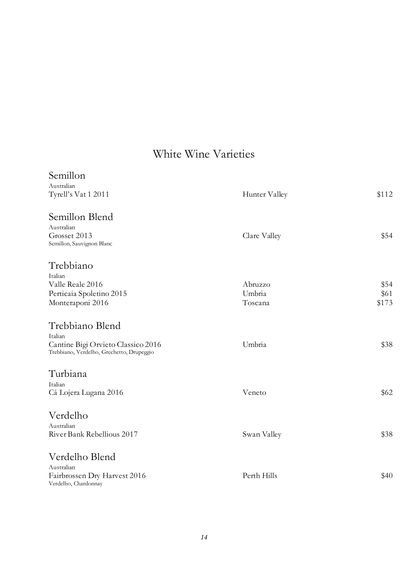| Semillon<br>Australian                                                          |               |       |
|---------------------------------------------------------------------------------|---------------|-------|
| Tyrell's Vat 1 2011                                                             | Hunter Valley | \$112 |
| Semillon Blend<br>Australian                                                    |               |       |
| Grosset 2013<br>Semillon, Sauvignon Blanc                                       | Clare Valley  | \$54  |
| Trebbiano<br>Italian                                                            |               |       |
| Valle Reale 2016                                                                | Abruzzo       | \$54  |
| Perticaia Spoletino 2015                                                        | Umbria        | \$61  |
| Monteraponi 2016                                                                | Toscana       | \$173 |
| Trebbiano Blend<br>Italian                                                      |               |       |
| Cantine Bigi Orvieto Classico 2016<br>Trebbiano, Verdelho, Grechetto, Drupeggio | Umbria        | \$38  |
| Turbiana                                                                        |               |       |
| Italian<br>Cá Lojera Lugana 2016                                                | Veneto        | \$62  |
| Verdelho                                                                        |               |       |
| Australian                                                                      |               |       |
| River Bank Rebellious 2017                                                      | Swan Valley   | \$38  |
| Verdelho Blend                                                                  |               |       |
| Australian<br>Fairbrossen Dry Harvest 2016                                      | Perth Hills   | \$40  |
| Verdelho, Chardonnay                                                            |               |       |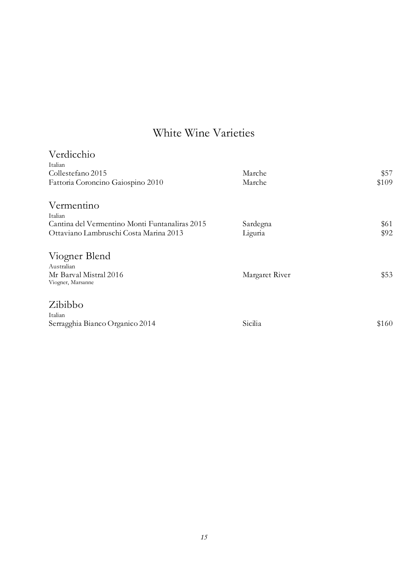| Verdicchio                                     |                |       |
|------------------------------------------------|----------------|-------|
| Italian                                        |                |       |
| Collestefano 2015                              | Marche         | \$57  |
| Fattoria Coroncino Gaiospino 2010              | Marche         | \$109 |
| Vermentino                                     |                |       |
| Italian                                        |                |       |
| Cantina del Vermentino Monti Funtanaliras 2015 | Sardegna       | \$61  |
| Ottaviano Lambruschi Costa Marina 2013         | Liguria        | \$92  |
| Viogner Blend                                  |                |       |
| Australian                                     |                |       |
| Mr Barval Mistral 2016<br>Viogner, Marsanne    | Margaret River | \$53  |
| Zibibbo                                        |                |       |
| Italian                                        |                |       |
| Serragghia Bianco Organico 2014                | Sicilia        | \$160 |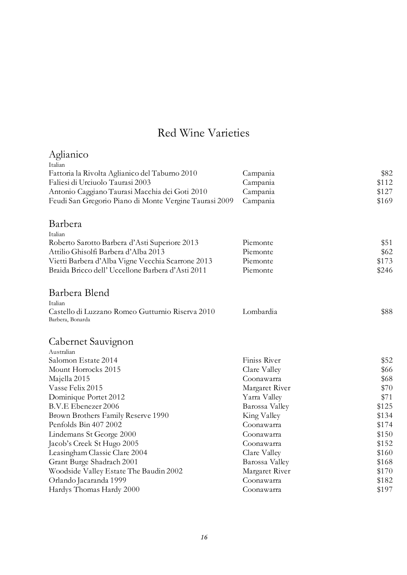| Aglianico                                                            |                |       |
|----------------------------------------------------------------------|----------------|-------|
| Italian                                                              |                |       |
| Fattoria la Rivolta Aglianico del Taburno 2010                       | Campania       | \$82  |
| Faliesi di Urciuolo Taurasi 2003                                     | Campania       | \$112 |
| Antonio Caggiano Taurasi Macchia dei Goti 2010                       | Campania       | \$127 |
| Feudi San Gregorio Piano di Monte Vergine Taurasi 2009               | Campania       | \$169 |
| Barbera                                                              |                |       |
| Italian                                                              |                |       |
| Roberto Sarotto Barbera d'Asti Superiore 2013                        | Piemonte       | \$51  |
| Attilio Ghisolfi Barbera d'Alba 2013                                 | Piemonte       | \$62  |
| Vietti Barbera d'Alba Vigne Vecchia Scarrone 2013                    | Piemonte       | \$173 |
| Braida Bricco dell' Uccellone Barbera d'Asti 2011                    | Piemonte       | \$246 |
| Barbera Blend                                                        |                |       |
| Italian                                                              |                |       |
| Castello di Luzzano Romeo Gutturnio Riserva 2010<br>Barbera, Bonarda | Lombardia      | \$88  |
| Cabernet Sauvignon                                                   |                |       |
| Australian                                                           |                |       |
| Salomon Estate 2014                                                  | Finiss River   | \$52  |
| Mount Horrocks 2015                                                  | Clare Valley   | \$66  |
| Majella 2015                                                         | Coonawarra     | \$68  |
| Vasse Felix 2015                                                     | Margaret River | \$70  |
| Dominique Portet 2012                                                | Yarra Valley   | \$71  |
| B.V.E Ebenezer 2006                                                  | Barossa Valley | \$125 |
| Brown Brothers Family Reserve 1990                                   | King Valley    | \$134 |
| Penfolds Bin 407 2002                                                | Coonawarra     | \$174 |
| Lindemans St George 2000                                             | Coonawarra     | \$150 |
| Jacob's Creek St Hugo 2005                                           | Coonawarra     | \$152 |
| Leasingham Classic Clare 2004                                        | Clare Valley   | \$160 |
| Grant Burge Shadrach 2001                                            | Barossa Valley | \$168 |
| Woodside Valley Estate The Baudin 2002                               | Margaret River | \$170 |
| Orlando Jacaranda 1999                                               | Coonawarra     | \$182 |
| Hardys Thomas Hardy 2000                                             | Coonawarra     | \$197 |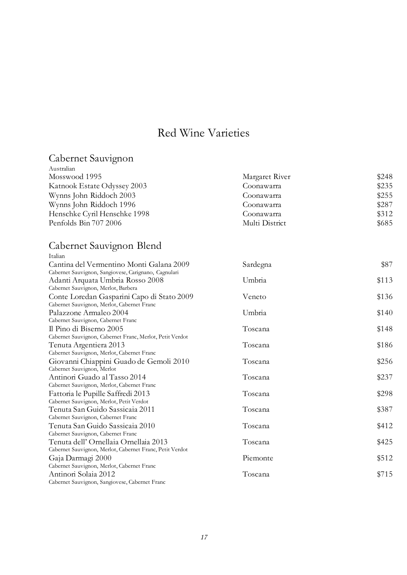#### Cabernet Sauvignon

| Margaret River | \$248 |
|----------------|-------|
| Coonawarra     | \$235 |
| Coonawarra     | \$255 |
| Coonawarra     | \$287 |
| Coonawarra     | \$312 |
| Multi District | \$685 |
|                |       |

#### Cabernet Sauvignon Blend

| Italian                                                                                  |          |       |
|------------------------------------------------------------------------------------------|----------|-------|
| Cantina del Vermentino Monti Galana 2009                                                 | Sardegna | \$87  |
| Cabernet Sauvignon, Sangiovese, Carignano, Cagnulari                                     |          |       |
| Adanti Arquata Umbria Rosso 2008                                                         | Umbria   | \$113 |
| Cabernet Sauvignon, Merlot, Barbera                                                      |          |       |
| Conte Loredan Gasparini Capo di Stato 2009<br>Cabernet Sauvignon, Merlot, Cabernet Franc | Veneto   | \$136 |
| Palazzone Armaleo 2004                                                                   | Umbria   | \$140 |
| Cabernet Sauvignon, Cabernet Franc                                                       |          |       |
| Il Pino di Biserno 2005                                                                  | Toscana  | \$148 |
| Cabernet Sauvignon, Cabernet Franc, Merlot, Petit Verdot                                 |          |       |
| Tenuta Argentiera 2013                                                                   | Toscana  | \$186 |
| Cabernet Sauvignon, Merlot, Cabernet Franc                                               |          |       |
| Giovanni Chiappini Guado de Gemoli 2010                                                  | Toscana  | \$256 |
| Cabernet Sauvignon, Merlot                                                               |          |       |
| Antinori Guado al Tasso 2014                                                             | Toscana  | \$237 |
| Cabernet Sauvignon, Merlot, Cabernet Franc                                               |          |       |
| Fattoria le Pupille Saffredi 2013                                                        | Toscana  | \$298 |
| Cabernet Sauvignon, Merlot, Petit Verdot                                                 |          |       |
| Tenuta San Guido Sassicaia 2011                                                          | Toscana  | \$387 |
| Cabernet Sauvignon, Cabernet Franc                                                       |          |       |
| Tenuta San Guido Sassicaia 2010                                                          | Toscana  | \$412 |
| Cabernet Sauvignon, Cabernet Franc                                                       |          |       |
| Tenuta dell' Ornellaia Ornellaia 2013                                                    | Toscana  | \$425 |
| Cabernet Sauvignon, Merlot, Cabernet Franc, Petit Verdot                                 |          |       |
| Gaja Darmagi 2000                                                                        | Piemonte | \$512 |
| Cabernet Sauvignon, Merlot, Cabernet Franc                                               |          |       |
| Antinori Solaia 2012                                                                     | Toscana  | \$715 |
| Cabernet Sauvignon, Sangiovese, Cabernet Franc                                           |          |       |
|                                                                                          |          |       |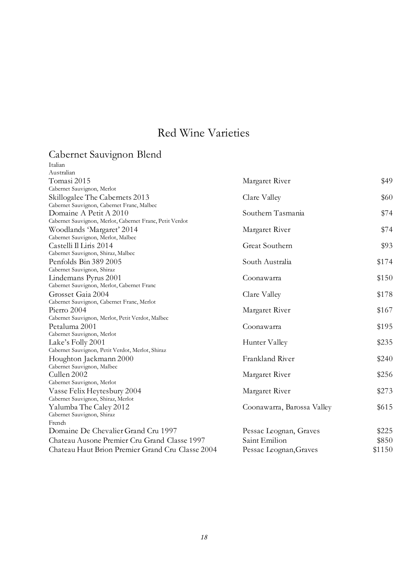#### Cabernet Sauvignon Blend

| Italian                                                  |                            |        |
|----------------------------------------------------------|----------------------------|--------|
| Australian                                               |                            |        |
| Tomasi 2015                                              | Margaret River             | \$49   |
| Cabernet Sauvignon, Merlot                               |                            |        |
| Skillogalee The Cabernets 2013                           | Clare Valley               | \$60   |
| Cabernet Sauvignon, Cabernet Franc, Malbec               |                            |        |
| Domaine A Petit A 2010                                   | Southern Tasmania          | \$74   |
| Cabernet Sauvignon, Merlot, Cabernet Franc, Petit Verdot |                            |        |
| Woodlands 'Margaret' 2014                                | Margaret River             | \$74   |
| Cabernet Sauvignon, Merlot, Malbec                       |                            |        |
| Castelli Il Liris 2014                                   | Great Southern             | \$93   |
| Cabernet Sauvignon, Shiraz, Malbec                       |                            |        |
| Penfolds Bin 389 2005                                    | South Australia            | \$174  |
| Cabernet Sauvignon, Shiraz                               |                            |        |
| Lindemans Pyrus 2001                                     | Coonawarra                 | \$150  |
| Cabernet Sauvignon, Merlot, Cabernet Franc               |                            |        |
| Grosset Gaia 2004                                        | Clare Valley               | \$178  |
| Cabernet Sauvignon, Cabernet Franc, Merlot               |                            |        |
| Pierro 2004                                              | Margaret River             | \$167  |
| Cabernet Sauvignon, Merlot, Petit Verdot, Malbec         |                            |        |
| Petaluma 2001                                            | Coonawarra                 | \$195  |
| Cabernet Sauvignon, Merlot                               |                            |        |
| Lake's Folly 2001                                        | Hunter Valley              | \$235  |
| Cabernet Sauvignon, Petit Verdot, Merlot, Shiraz         |                            |        |
| Houghton Jackmann 2000                                   | Frankland River            | \$240  |
| Cabernet Sauvignon, Malbec                               |                            |        |
| Cullen 2002                                              | Margaret River             | \$256  |
| Cabernet Sauvignon, Merlot                               |                            |        |
| Vasse Felix Heytesbury 2004                              | Margaret River             | \$273  |
| Cabernet Sauvignon, Shiraz, Merlot                       |                            |        |
| Yalumba The Caley 2012                                   | Coonawarra, Barossa Valley | \$615  |
| Cabernet Sauvignon, Shiraz                               |                            |        |
| French                                                   |                            |        |
| Domaine De Chevalier Grand Cru 1997                      | Pessac Leognan, Graves     | \$225  |
| Chateau Ausone Premier Cru Grand Classe 1997             | Saint Emilion              | \$850  |
| Chateau Haut Brion Premier Grand Cru Classe 2004         | Pessac Leognan, Graves     | \$1150 |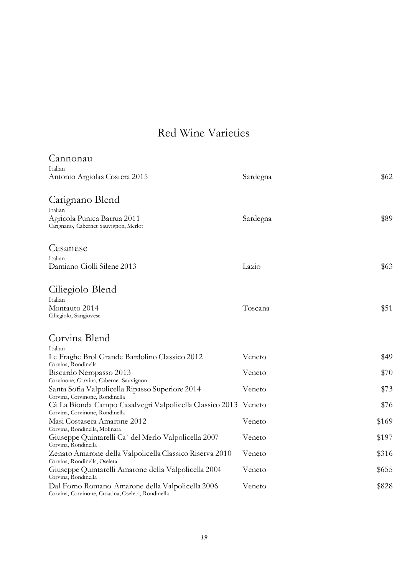| Cannonau                                                                                                    |          |       |
|-------------------------------------------------------------------------------------------------------------|----------|-------|
| Italian<br>Antonio Argiolas Costera 2015                                                                    | Sardegna | \$62  |
| Carignano Blend                                                                                             |          |       |
| Italian<br>Agricola Punica Barrua 2011<br>Carignano, Cabernet Sauvignon, Merlot                             | Sardegna | \$89  |
| Cesanese                                                                                                    |          |       |
| Italian<br>Damiano Ciolli Silene 2013                                                                       | Lazio    | \$63  |
| Ciliegiolo Blend                                                                                            |          |       |
| Italian<br>Montauto 2014<br>Ciliegiolo, Sangiovese                                                          | Toscana  | \$51  |
| Corvina Blend                                                                                               |          |       |
| Italian<br>Le Fraghe Brol Grande Bardolino Classico 2012<br>Corvina, Rondinella                             | Veneto   | \$49  |
| Biscardo Neropasso 2013<br>Corvinone, Corvina, Cabernet Sauvignon                                           | Veneto   | \$70  |
| Santa Sofia Valpolicella Ripasso Superiore 2014<br>Corvina, Corvinone, Rondinella                           | Veneto   | \$73  |
| Cá La Bionda Campo Casalvegri Valpolicella Classico 2013<br>Corvina, Corvinone, Rondinella                  | Veneto   | \$76  |
| Masi Costasera Amarone 2012<br>Corvina, Rondinella, Molinara                                                | Veneto   | \$169 |
| Giuseppe Quintarelli Ca` del Merlo Valpolicella 2007<br>Corvina, Rondinella                                 | Veneto   | \$197 |
| Zenato Amarone della Valpolicella Classico Riserva 2010                                                     | Veneto   | \$316 |
| Corvina, Rondinella, Oseleta<br>Giuseppe Quintarelli Amarone della Valpolicella 2004<br>Corvina, Rondinella | Veneto   | \$655 |
| Dal Forno Romano Amarone della Valpolicella 2006<br>Corvina, Corvinone, Croatina, Oseleta, Rondinella       | Veneto   | \$828 |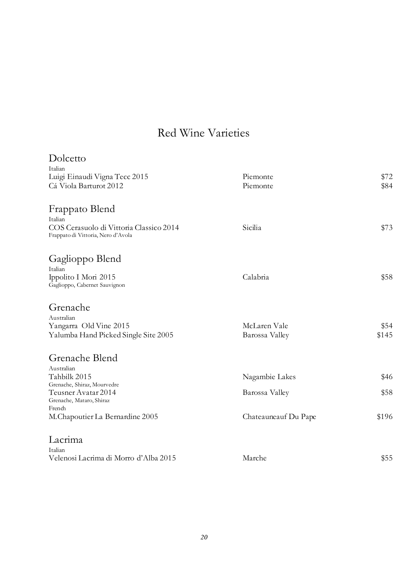| Dolcetto                                                                      |                      |       |
|-------------------------------------------------------------------------------|----------------------|-------|
| Italian                                                                       |                      |       |
| Luigi Einaudi Vigna Tecc 2015                                                 | Piemonte             | \$72  |
| Cá Viola Barturot 2012                                                        | Piemonte             | \$84  |
| Frappato Blend                                                                |                      |       |
| Italian                                                                       |                      |       |
| COS Cerasuolo di Vittoria Classico 2014<br>Frappato di Vittoria, Nero d'Avola | Sicilia              | \$73  |
| Gaglioppo Blend                                                               |                      |       |
| Italian                                                                       |                      |       |
| Ippolito I Mori 2015                                                          | Calabria             | \$58  |
| Gaglioppo, Cabernet Sauvignon                                                 |                      |       |
| Grenache                                                                      |                      |       |
| Australian                                                                    |                      |       |
| Yangarra Old Vine 2015                                                        | McLaren Vale         | \$54  |
| Yalumba Hand Picked Single Site 2005                                          | Barossa Valley       | \$145 |
| Grenache Blend                                                                |                      |       |
| Australian                                                                    |                      |       |
| Tahbilk 2015                                                                  | Nagambie Lakes       | \$46  |
| Grenache, Shiraz, Mourvedre                                                   |                      |       |
| Teusner Avatar 2014<br>Grenache, Mataro, Shiraz                               | Barossa Valley       | \$58  |
| French                                                                        |                      |       |
| M.Chapoutier La Bernardine 2005                                               | Chateauneauf Du Pape | \$196 |
| Lacrima                                                                       |                      |       |
| Italian                                                                       |                      |       |
| Velenosi Lacrima di Morro d'Alba 2015                                         | Marche               | \$55  |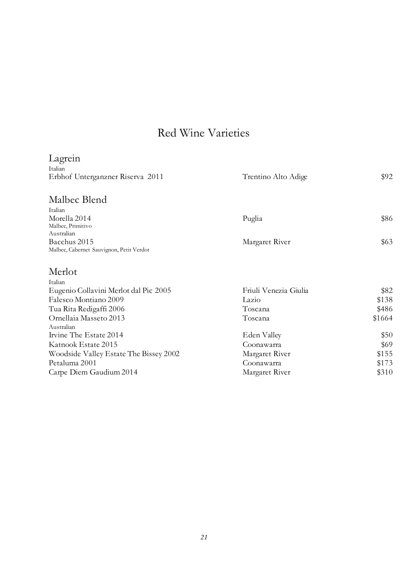| Lagrein                                  |                       |        |
|------------------------------------------|-----------------------|--------|
| Italian                                  |                       |        |
| Erbhof Unterganzner Riserva 2011         | Trentino Alto Adige   | \$92   |
| Malbec Blend                             |                       |        |
| Italian                                  |                       |        |
| Morella 2014<br>Malbec, Primitivo        | Puglia                | \$86   |
| Australian                               |                       |        |
| Bacchus 2015                             | Margaret River        | \$63   |
| Malbec, Cabernet Sauvignon, Petit Verdot |                       |        |
| Merlot                                   |                       |        |
| Italian                                  |                       |        |
| Eugenio Collavini Merlot dal Pic 2005    | Friuli Venezia Giulia | \$82   |
| Falesco Montiano 2009                    | Lazio                 | \$138  |
| Tua Rita Redigaffi 2006                  | Toscana               | \$486  |
| Ornellaia Masseto 2013                   | Toscana               | \$1664 |
| Australian                               |                       |        |
| Irvine The Estate 2014                   | Eden Valley           | \$50   |
| Katnook Estate 2015                      | Coonawarra            | \$69   |
| Woodside Valley Estate The Bissey 2002   | Margaret River        | \$155  |
| Petaluma 2001                            | Coonawarra            | \$173  |
| Carpe Diem Gaudium 2014                  | Margaret River        | \$310  |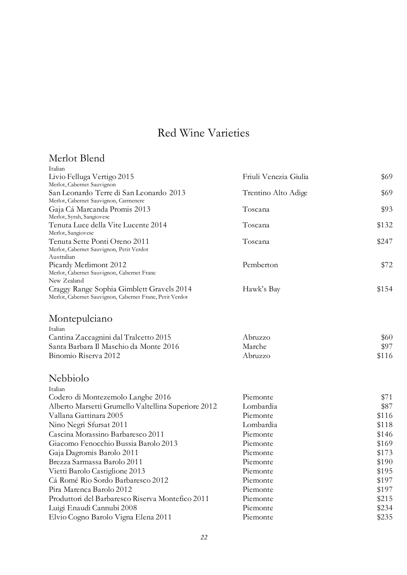#### Merlot Blend

| Italian                                                   |                       |       |
|-----------------------------------------------------------|-----------------------|-------|
| Livio Felluga Vertigo 2015                                | Friuli Venezia Giulia | \$69  |
| Merlot, Cabernet Sauvignon                                |                       |       |
| San Leonardo Terre di San Leonardo 2013                   | Trentino Alto Adige   | \$69  |
| Merlot, Cabernet Sauvignon, Carmenere                     | Toscana               |       |
| Gaja Cá Marcanda Promis 2013<br>Merlot, Syrah, Sangiovese |                       | \$93  |
| Tenuta Luce della Vite Lucente 2014                       | Toscana               | \$132 |
| Merlot, Sangiovese                                        |                       |       |
| Tenuta Sette Ponti Oreno 2011                             | Toscana               | \$247 |
| Merlot, Cabernet Sauvignon, Petit Verdot                  |                       |       |
| Australian<br>Picardy Merlimont 2012                      | Pemberton             | \$72  |
| Merlot, Cabernet Sauvignon, Cabernet Franc                |                       |       |
| New Zealand                                               |                       |       |
| Craggy Range Sophia Gimblett Gravels 2014                 | Hawk's Bay            | \$154 |
| Merlot, Cabernet Sauvignon, Cabernet Franc, Petit Verdot  |                       |       |
| Montepulciano                                             |                       |       |
| Italian                                                   |                       |       |
| Cantina Zaccagnini dal Tralcetto 2015                     | Abruzzo               | \$60  |
| Santa Barbara Il Maschio da Monte 2016                    | Marche                | \$97  |
| Binomio Riserva 2012                                      | Abruzzo               | \$116 |
| Nebbiolo                                                  |                       |       |
| Italian                                                   |                       |       |
| Codero di Montezemolo Langhe 2016                         | Piemonte              | \$71  |
| Alberto Marsetti Grumello Valtellina Superiore 2012       | Lombardia             | \$87  |
| Vallana Gattinara 2005                                    | Piemonte              | \$116 |
| Nino Negri Sfursat 2011                                   | Lombardia             | \$118 |
| Cascina Morassino Barbaresco 2011                         | Piemonte              | \$146 |
| Giacomo Fenocchio Bussia Barolo 2013                      | Piemonte              | \$169 |
| Gaja Dagromis Barolo 2011                                 | Piemonte              | \$173 |
| Brezza Sarmassa Barolo 2011                               | Piemonte              | \$190 |
| Vietti Barolo Castiglione 2013                            | Piemonte              | \$195 |
| Cá Romé Rio Sordo Barbaresco 2012                         | Piemonte              | \$197 |
| Pira Marenca Barolo 2012                                  | Piemonte              | \$197 |
| Produttori del Barbaresco Riserva Montefico 2011          | Piemonte              | \$215 |
| Luigi Enaudi Cannubi 2008                                 | Piemonte              | \$234 |
| Elvio Cogno Barolo Vigna Elena 2011                       | Piemonte              | \$235 |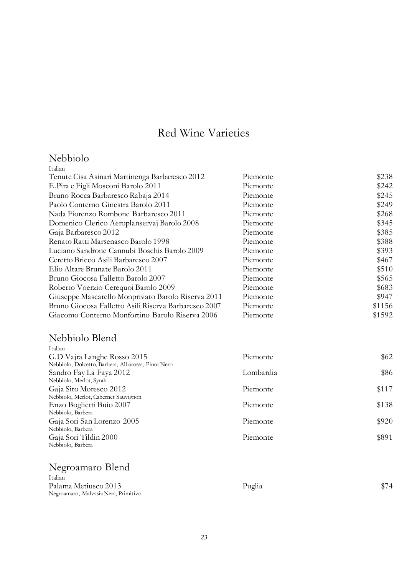## Nebbiolo

| Italian                                              |          |        |
|------------------------------------------------------|----------|--------|
| Tenute Cisa Asinari Martinenga Barbaresco 2012       | Piemonte | \$238  |
| E.Pira e Figli Mosconi Barolo 2011                   | Piemonte | \$242  |
| Bruno Rocca Barbaresco Rabaja 2014                   | Piemonte | \$245  |
| Paolo Conterno Ginestra Barolo 2011                  | Piemonte | \$249  |
| Nada Fiorenzo Rombone Barbaresco 2011                | Piemonte | \$268  |
| Domenico Clerico Aeroplanservaj Barolo 2008          | Piemonte | \$345  |
| Gaja Barbaresco 2012                                 | Piemonte | \$385  |
| Renato Ratti Marsenasco Barolo 1998                  | Piemonte | \$388  |
| Luciano Sandrone Cannubi Boschis Barolo 2009         | Piemonte | \$393  |
| Ceretto Bricco Asili Barbaresco 2007                 | Piemonte | \$467  |
| Elio Altare Brunate Barolo 2011                      | Piemonte | \$510  |
| Bruno Giocosa Falletto Barolo 2007                   | Piemonte | \$565  |
| Roberto Voerzio Cerequoi Barolo 2009                 | Piemonte | \$683  |
| Giuseppe Mascarello Monprivato Barolo Riserva 2011   | Piemonte | \$947  |
| Bruno Giocosa Falletto Asili Riserva Barbaresco 2007 | Piemonte | \$1156 |
| Giacomo Conterno Monfortino Barolo Riserva 2006      | Piemonte | \$1592 |
|                                                      |          |        |

#### Nebbiolo Blend

| Italian                                            |           |       |
|----------------------------------------------------|-----------|-------|
| G.D Vajra Langhe Rosso 2015                        | Piemonte  | \$62  |
| Nebbiolo, Dolcetto, Barbera, Albarossa, Pinot Nero |           |       |
| Sandro Fay La Faya 2012                            | Lombardia | \$86  |
| Nebbiolo, Merlot, Syrah                            |           |       |
| Gaja Sito Moresco 2012                             | Piemonte  | \$117 |
| Nebbiolo, Merlot, Cabernet Sauvignon               |           |       |
| Enzo Boglietti Buio 2007                           | Piemonte  | \$138 |
| Nebbiolo, Barbera                                  |           |       |
| Gaja Sori San Lorenzo 2005                         | Piemonte  | \$920 |
| Nebbiolo, Barbera                                  |           |       |
| Gaja Sori Tildin 2000                              | Piemonte  | \$891 |
| Nebbiolo, Barbera                                  |           |       |

## Negroamaro Blend

| Italian                              |        |      |
|--------------------------------------|--------|------|
| Palama Metiusco 2013                 | Puglia | \$74 |
| Negroamaro, Malvasia Nera, Primitivo |        |      |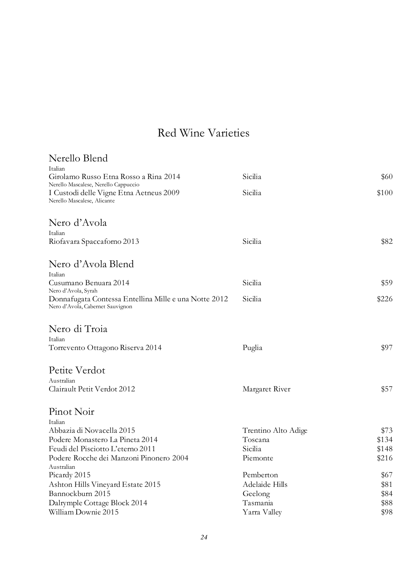| Nerello Blend                                                                             |                     |       |
|-------------------------------------------------------------------------------------------|---------------------|-------|
| Italian                                                                                   |                     |       |
| Girolamo Russo Etna Rosso a Rina 2014<br>Nerello Mascalese, Nerello Cappuccio             | Sicilia             | \$60  |
| I Custodi delle Vigne Etna Aetneus 2009<br>Nerello Mascalese, Alicante                    | Sicilia             | \$100 |
| Nero d'Avola                                                                              |                     |       |
| Italian                                                                                   |                     |       |
| Riofavara Spaccaforno 2013                                                                | Sicilia             | \$82  |
| Nero d'Avola Blend                                                                        |                     |       |
| Italian                                                                                   |                     |       |
| Cusumano Benuara 2014<br>Nero d'Avola, Syrah                                              | Sicilia             | \$59  |
| Donnafugata Contessa Entellina Mille e una Notte 2012<br>Nero d'Avola, Cabernet Sauvignon | Sicilia             | \$226 |
| Nero di Troia                                                                             |                     |       |
| Italian                                                                                   |                     |       |
| Torrevento Ottagono Riserva 2014                                                          | Puglia              | \$97  |
| Petite Verdot                                                                             |                     |       |
| Australian                                                                                |                     |       |
| Clairault Petit Verdot 2012                                                               | Margaret River      | \$57  |
| Pinot Noir                                                                                |                     |       |
| Italian                                                                                   |                     |       |
| Abbazia di Novacella 2015                                                                 | Trentino Alto Adige | \$73  |
| Podere Monastero La Pineta 2014                                                           | Toscana             | \$134 |
| Feudi del Pisciotto L'eterno 2011                                                         | Sicilia             | \$148 |
| Podere Rocche dei Manzoni Pinonero 2004                                                   | Piemonte            | \$216 |
| Australian                                                                                |                     |       |
| Picardy 2015                                                                              | Pemberton           | \$67  |
| Ashton Hills Vineyard Estate 2015                                                         | Adelaide Hills      | \$81  |
| Bannockburn 2015                                                                          | Geelong             | \$84  |
| Dalrymple Cottage Block 2014                                                              | Tasmania            | \$88  |
| William Downie 2015                                                                       | Yarra Valley        | \$98  |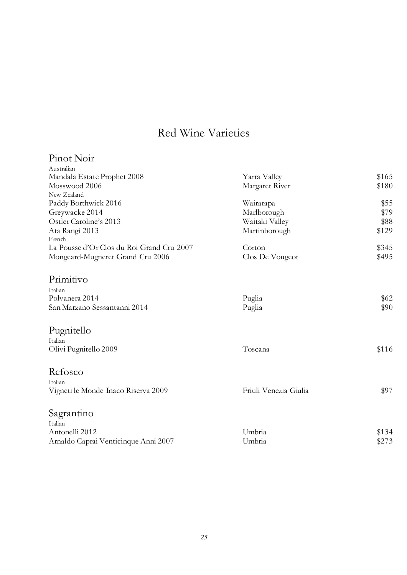| Yarra Valley          | \$165                                           |
|-----------------------|-------------------------------------------------|
| Margaret River        | \$180                                           |
|                       |                                                 |
| Wairarapa             | \$55                                            |
| Marlborough           | \$79                                            |
| Waitaki Valley        | \$88                                            |
| Martinborough         | \$129                                           |
|                       |                                                 |
| Corton                | \$345                                           |
| Clos De Vougeot       | \$495                                           |
|                       |                                                 |
|                       |                                                 |
|                       |                                                 |
|                       | \$62                                            |
|                       | \$90                                            |
|                       |                                                 |
|                       |                                                 |
|                       | \$116                                           |
|                       |                                                 |
|                       |                                                 |
|                       |                                                 |
| Friuli Venezia Giulia | \$97                                            |
|                       |                                                 |
|                       |                                                 |
|                       |                                                 |
|                       | \$134                                           |
|                       | \$273                                           |
|                       | Puglia<br>Puglia<br>Toscana<br>Umbria<br>Umbria |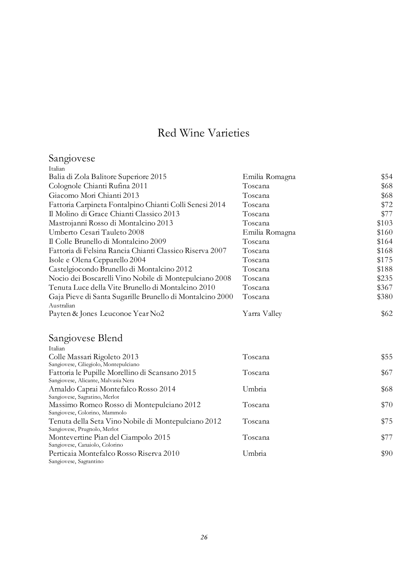| Sangiovese                                                              |                |       |
|-------------------------------------------------------------------------|----------------|-------|
| Italian                                                                 |                |       |
| Balia di Zola Balitore Superiore 2015                                   | Emilia Romagna | \$54  |
| Colognole Chianti Rufina 2011                                           | Toscana        | \$68  |
| Giacomo Mori Chianti 2013                                               | Toscana        | \$68  |
| Fattoria Carpineta Fontalpino Chianti Colli Senesi 2014                 | Toscana        | \$72  |
| Il Molino di Grace Chianti Classico 2013                                | Toscana        | \$77  |
| Mastrojanni Rosso di Montalcino 2013                                    | Toscana        | \$103 |
| Umberto Cesari Tauleto 2008                                             | Emilia Romagna | \$160 |
| Il Colle Brunello di Montalcino 2009                                    | Toscana        | \$164 |
| Fattoria di Felsina Rancia Chianti Classico Riserva 2007                | Toscana        | \$168 |
| Isole e Olena Cepparello 2004                                           | Toscana        | \$175 |
| Castelgiocondo Brunello di Montalcino 2012                              | Toscana        | \$188 |
| Nocio dei Boscarelli Vino Nobile di Montepulciano 2008                  | Toscana        | \$235 |
| Tenuta Luce della Vite Brunello di Montalcino 2010                      | Toscana        | \$367 |
| Gaja Pieve di Santa Sugarille Brunello di Montalcino 2000<br>Australian | Toscana        | \$380 |
| Payten & Jones Leuconoe Year No2                                        | Yarra Valley   | \$62  |
| Sangiovese Blend                                                        |                |       |
| Italian                                                                 |                |       |
| Colle Massari Rigoleto 2013                                             | Toscana        | \$55  |
| Sangiovese, Gliegiolo, Montepulciano                                    |                |       |
| Fattoria le Pupille Morellino di Scansano 2015                          | Toscana        | \$67  |
| Sangiovese, Alicante, Malvasia Nera                                     |                |       |
| Arnaldo Caprai Montefalco Rosso 2014<br>Sangiovese, Sagratino, Merlot   | Umbria         | \$68  |
| Massimo Romeo Rosso di Montepulciano 2012                               | Toscana        | \$70  |
| Sangiovese, Colorino, Mammolo                                           |                |       |
| Tenuta della Seta Vino Nobile di Montepulciano 2012                     | Toscana        | \$75  |
| Sangiovese, Prugnolo, Merlot                                            |                |       |
| Montevertine Pian del Ciampolo 2015                                     | Toscana        | \$77  |
| Sangiovese, Canaiolo, Colorino                                          | Umbria         | \$90  |
| Perticaia Montefalco Rosso Riserva 2010                                 |                |       |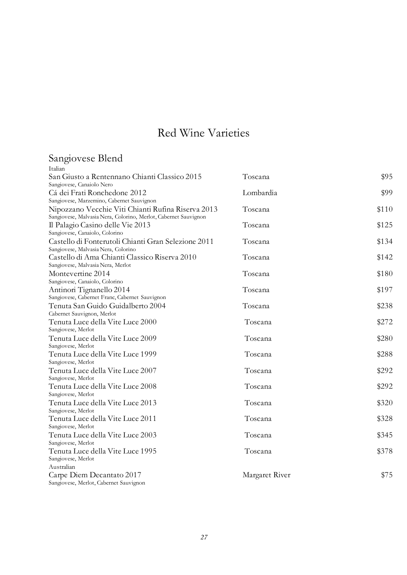#### Sangiovese Blend

| Italian                                                                                                               |                |       |
|-----------------------------------------------------------------------------------------------------------------------|----------------|-------|
| San Giusto a Rentennano Chianti Classico 2015                                                                         | Toscana        | \$95  |
| Sangiovese, Canaiolo Nero                                                                                             |                |       |
| Cá dei Frati Ronchedone 2012                                                                                          | Lombardia      | \$99  |
| Sangiovese, Marzemino, Cabernet Sauvignon                                                                             |                |       |
| Nipozzano Vecchie Viti Chianti Rufina Riserva 2013<br>Sangiovese, Malvasia Nera, Colorino, Merlot, Cabernet Sauvignon | Toscana        | \$110 |
| Il Palagio Casino delle Vie 2013                                                                                      | Toscana        | \$125 |
| Sangiovese, Canaiolo, Colorino                                                                                        |                |       |
| Castello di Fonterutoli Chianti Gran Selezione 2011                                                                   | Toscana        | \$134 |
| Sangiovese, Malvasia Nera, Colorino                                                                                   |                |       |
| Castello di Ama Chianti Classico Riserva 2010                                                                         | Toscana        | \$142 |
| Sangiovese, Malvasia Nera, Merlot                                                                                     |                |       |
| Montevertine 2014                                                                                                     | Toscana        | \$180 |
| Sangiovese, Canaiolo, Colorino                                                                                        |                |       |
| Antinori Tignanello 2014                                                                                              | Toscana        | \$197 |
| Sangiovese, Cabernet Franc, Cabernet Sauvignon                                                                        |                |       |
| Tenuta San Guido Guidalberto 2004                                                                                     | Toscana        |       |
| Cabernet Sauvignon, Merlot                                                                                            |                | \$238 |
| Tenuta Luce della Vite Luce 2000                                                                                      | Toscana        | \$272 |
| Sangiovese, Merlot                                                                                                    |                |       |
| Tenuta Luce della Vite Luce 2009                                                                                      | Toscana        | \$280 |
| Sangiovese, Merlot                                                                                                    |                |       |
| Tenuta Luce della Vite Luce 1999                                                                                      | Toscana        | \$288 |
| Sangiovese, Merlot                                                                                                    |                |       |
| Tenuta Luce della Vite Luce 2007                                                                                      | Toscana        | \$292 |
| Sangiovese, Merlot                                                                                                    |                |       |
| Tenuta Luce della Vite Luce 2008                                                                                      | Toscana        | \$292 |
| Sangiovese, Merlot                                                                                                    |                |       |
| Tenuta Luce della Vite Luce 2013                                                                                      | Toscana        | \$320 |
| Sangiovese, Merlot                                                                                                    |                |       |
| Tenuta Luce della Vite Luce 2011                                                                                      | Toscana        | \$328 |
| Sangiovese, Merlot                                                                                                    |                |       |
| Tenuta Luce della Vite Luce 2003                                                                                      | Toscana        | \$345 |
| Sangiovese, Merlot                                                                                                    |                |       |
| Tenuta Luce della Vite Luce 1995                                                                                      | Toscana        | \$378 |
| Sangiovese, Merlot                                                                                                    |                |       |
| Australian                                                                                                            |                |       |
| Carpe Diem Decantato 2017                                                                                             | Margaret River | \$75  |
| Sangiovese, Merlot, Cabernet Sauvignon                                                                                |                |       |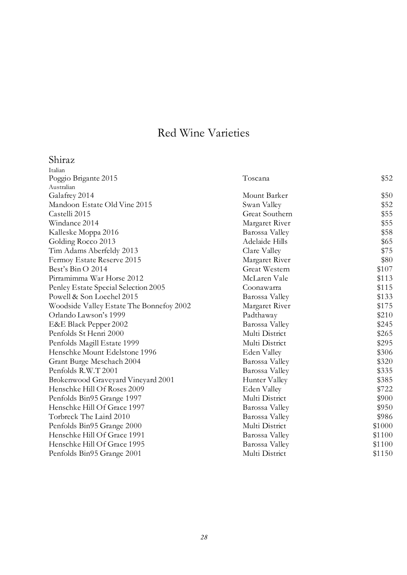| Shiraz                                   |                      |        |
|------------------------------------------|----------------------|--------|
| Italian                                  |                      |        |
| Poggio Brigante 2015                     | Toscana              | \$52   |
| Australian                               |                      |        |
| Galafrey 2014                            | Mount Barker         | \$50   |
| Mandoon Estate Old Vine 2015             | Swan Valley          | \$52   |
| Castelli 2015                            | Great Southern       | \$55   |
| Windance 2014                            | Margaret River       | \$55   |
| Kalleske Moppa 2016                      | Barossa Valley       | \$58   |
| Golding Rocco 2013                       | Adelaide Hills       | \$65   |
| Tim Adams Aberfeldy 2013                 | Clare Valley         | \$75   |
| Fermoy Estate Reserve 2015               | Margaret River       | \$80   |
| Best's Bin O 2014                        | <b>Great Western</b> | \$107  |
| Pirramimma War Horse 2012                | McLaren Vale         | \$113  |
| Penley Estate Special Selection 2005     | Coonawarra           | \$115  |
| Powell & Son Loechel 2015                | Barossa Valley       | \$133  |
| Woodside Valley Estate The Bonnefoy 2002 | Margaret River       | \$175  |
| Orlando Lawson's 1999                    | Padthaway            | \$210  |
| E&E Black Pepper 2002                    | Barossa Valley       | \$245  |
| Penfolds St Henri 2000                   | Multi District       | \$265  |
| Penfolds Magill Estate 1999              | Multi District       | \$295  |
| Henschke Mount Edelstone 1996            | Eden Valley          | \$306  |
| Grant Burge Meschach 2004                | Barossa Valley       | \$320  |
| Penfolds R.W.T 2001                      | Barossa Valley       | \$335  |
| Brokenwood Graveyard Vineyard 2001       | Hunter Valley        | \$385  |
| Henschke Hill Of Roses 2009              | Eden Valley          | \$722  |
| Penfolds Bin95 Grange 1997               | Multi District       | \$900  |
| Henschke Hill Of Grace 1997              | Barossa Valley       | \$950  |
| Torbreck The Laird 2010                  | Barossa Valley       | \$986  |
| Penfolds Bin95 Grange 2000               | Multi District       | \$1000 |
| Henschke Hill Of Grace 1991              | Barossa Valley       | \$1100 |
| Henschke Hill Of Grace 1995              | Barossa Valley       | \$1100 |
| Penfolds Bin95 Grange 2001               | Multi District       | \$1150 |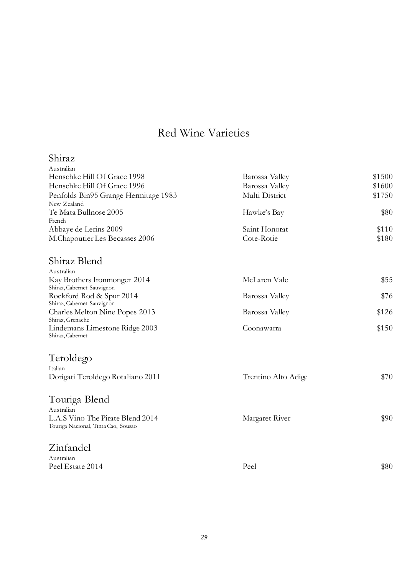| Shiraz                                                 |                             |        |
|--------------------------------------------------------|-----------------------------|--------|
| Australian                                             |                             |        |
| Henschke Hill Of Grace 1998                            | Barossa Valley              | \$1500 |
| Henschke Hill Of Grace 1996                            | Barossa Valley              | \$1600 |
| Penfolds Bin95 Grange Hermitage 1983                   | Multi District              | \$1750 |
| New Zealand                                            |                             |        |
| Te Mata Bullnose 2005                                  | Hawke's Bay                 | \$80   |
| French                                                 |                             |        |
| Abbaye de Lerins 2009                                  | Saint Honorat<br>Cote-Rotie | \$110  |
| M.Chapoutier Les Becasses 2006                         |                             | \$180  |
| Shiraz Blend                                           |                             |        |
| Australian                                             |                             |        |
| Kay Brothers Ironmonger 2014                           | McLaren Vale                | \$55   |
| Shiraz, Cabernet Sauvignon                             |                             |        |
| Rockford Rod & Spur 2014<br>Shiraz, Cabernet Sauvignon | Barossa Valley              | \$76   |
| Charles Melton Nine Popes 2013                         | Barossa Valley              | \$126  |
| Shiraz, Grenache                                       |                             |        |
| Lindemans Limestone Ridge 2003                         | Coonawarra                  | \$150  |
| Shiraz, Cabernet                                       |                             |        |
| Teroldego                                              |                             |        |
| Italian                                                |                             |        |
| Dorigati Teroldego Rotaliano 2011                      | Trentino Alto Adige         | \$70   |
| Touriga Blend                                          |                             |        |
| Australian                                             |                             |        |
| L.A.S Vino The Pirate Blend 2014                       | Margaret River              | \$90   |
| Touriga Nacional, Tinta Cao, Sousao                    |                             |        |
| Zinfandel                                              |                             |        |
| Australian                                             |                             |        |
| Peel Estate 2014                                       | Peel                        | \$80   |
|                                                        |                             |        |